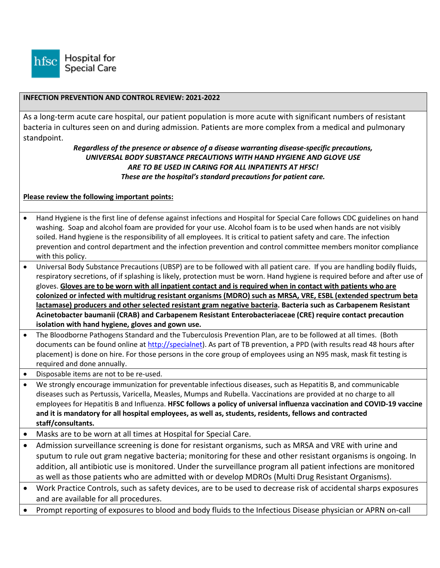

#### **INFECTION PREVENTION AND CONTROL REVIEW: 2021-2022**

As a long-term acute care hospital, our patient population is more acute with significant numbers of resistant bacteria in cultures seen on and during admission. Patients are more complex from a medical and pulmonary standpoint.

### *Regardless of the presence or absence of a disease warranting disease-specific precautions, UNIVERSAL BODY SUBSTANCE PRECAUTIONS WITH HAND HYGIENE AND GLOVE USE ARE TO BE USED IN CARING FOR ALL INPATIENTS AT HFSC! These are the hospital's standard precautions for patient care.*

### **Please review the following important points:**

- Hand Hygiene is the first line of defense against infections and Hospital for Special Care follows CDC guidelines on hand washing. Soap and alcohol foam are provided for your use. Alcohol foam is to be used when hands are not visibly soiled. Hand hygiene is the responsibility of all employees. It is critical to patient safety and care. The infection prevention and control department and the infection prevention and control committee members monitor compliance with this policy.
- Universal Body Substance Precautions (UBSP) are to be followed with all patient care. If you are handling bodily fluids, respiratory secretions, of if splashing is likely, protection must be worn. Hand hygiene is required before and after use of gloves. **Gloves are to be worn with all inpatient contact and is required when in contact with patients who are colonized or infected with multidrug resistant organisms (MDRO) such as MRSA, VRE, ESBL (extended spectrum beta lactamase) producers and other selected resistant gram negative bacteria. Bacteria such as Carbapenem Resistant Acinetobacter baumanii (CRAB) and Carbapenem Resistant Enterobacteriaceae (CRE) require contact precaution isolation with hand hygiene, gloves and gown use.**
- The Bloodborne Pathogens Standard and the Tuberculosis Prevention Plan, are to be followed at all times. (Both documents can be found online a[t http://specialnet\)](http://specialnet/). As part of TB prevention, a PPD (with results read 48 hours after placement) is done on hire. For those persons in the core group of employees using an N95 mask, mask fit testing is required and done annually.
- Disposable items are not to be re-used.
- We strongly encourage immunization for preventable infectious diseases, such as Hepatitis B, and communicable diseases such as Pertussis, Varicella, Measles, Mumps and Rubella. Vaccinations are provided at no charge to all employees for Hepatitis B and Influenza. **HFSC follows a policy of universal influenza vaccination and COVID-19 vaccine and it is mandatory for all hospital employees, as well as, students, residents, fellows and contracted staff/consultants.**
- Masks are to be worn at all times at Hospital for Special Care.
- Admission surveillance screening is done for resistant organisms, such as MRSA and VRE with urine and sputum to rule out gram negative bacteria; monitoring for these and other resistant organisms is ongoing. In addition, all antibiotic use is monitored. Under the surveillance program all patient infections are monitored as well as those patients who are admitted with or develop MDROs (Multi Drug Resistant Organisms).
- Work Practice Controls, such as safety devices, are to be used to decrease risk of accidental sharps exposures and are available for all procedures.
- Prompt reporting of exposures to blood and body fluids to the Infectious Disease physician or APRN on-call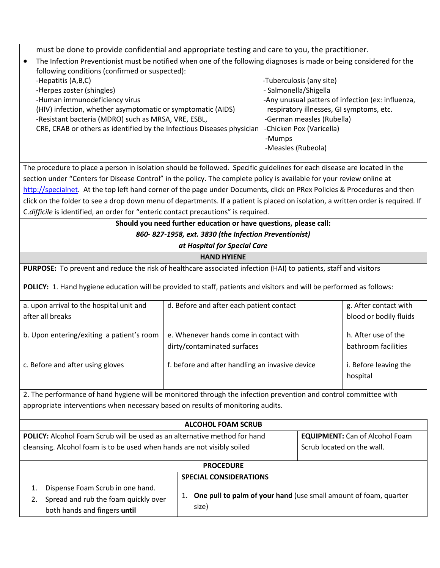| must be done to provide confidential and appropriate testing and care to you, the practitioner.                                  |                                                                     |                                          |                                                   |
|----------------------------------------------------------------------------------------------------------------------------------|---------------------------------------------------------------------|------------------------------------------|---------------------------------------------------|
| The Infection Preventionist must be notified when one of the following diagnoses is made or being considered for the             |                                                                     |                                          |                                                   |
| following conditions (confirmed or suspected):                                                                                   |                                                                     |                                          |                                                   |
| -Hepatitis (A,B,C)                                                                                                               |                                                                     | -Tuberculosis (any site)                 |                                                   |
| -Herpes zoster (shingles)                                                                                                        |                                                                     | - Salmonella/Shigella                    |                                                   |
| -Human immunodeficiency virus                                                                                                    |                                                                     |                                          | -Any unusual patters of infection (ex: influenza, |
| (HIV) infection, whether asymptomatic or symptomatic (AIDS)                                                                      |                                                                     | respiratory illnesses, GI symptoms, etc. |                                                   |
| -Resistant bacteria (MDRO) such as MRSA, VRE, ESBL,                                                                              |                                                                     | -German measles (Rubella)                |                                                   |
| CRE, CRAB or others as identified by the Infectious Diseases physician                                                           | -Mumps                                                              | -Chicken Pox (Varicella)                 |                                                   |
|                                                                                                                                  |                                                                     | -Measles (Rubeola)                       |                                                   |
|                                                                                                                                  |                                                                     |                                          |                                                   |
| The procedure to place a person in isolation should be followed. Specific guidelines for each disease are located in the         |                                                                     |                                          |                                                   |
| section under "Centers for Disease Control" in the policy. The complete policy is available for your review online at            |                                                                     |                                          |                                                   |
| http://specialnet. At the top left hand corner of the page under Documents, click on PRex Policies & Procedures and then         |                                                                     |                                          |                                                   |
| click on the folder to see a drop down menu of departments. If a patient is placed on isolation, a written order is required. If |                                                                     |                                          |                                                   |
| C.difficile is identified, an order for "enteric contact precautions" is required.                                               |                                                                     |                                          |                                                   |
|                                                                                                                                  | Should you need further education or have questions, please call:   |                                          |                                                   |
|                                                                                                                                  | 860-827-1958, ext. 3830 (the Infection Preventionist)               |                                          |                                                   |
|                                                                                                                                  | at Hospital for Special Care                                        |                                          |                                                   |
|                                                                                                                                  | <b>HAND HYIENE</b>                                                  |                                          |                                                   |
| PURPOSE: To prevent and reduce the risk of healthcare associated infection (HAI) to patients, staff and visitors                 |                                                                     |                                          |                                                   |
| POLICY: 1. Hand hygiene education will be provided to staff, patients and visitors and will be performed as follows:             |                                                                     |                                          |                                                   |
| a. upon arrival to the hospital unit and                                                                                         | d. Before and after each patient contact                            |                                          | g. After contact with                             |
| after all breaks                                                                                                                 |                                                                     |                                          | blood or bodily fluids                            |
|                                                                                                                                  |                                                                     |                                          |                                                   |
| b. Upon entering/exiting a patient's room                                                                                        | e. Whenever hands come in contact with                              |                                          | h. After use of the                               |
|                                                                                                                                  | dirty/contaminated surfaces                                         |                                          | bathroom facilities                               |
| c. Before and after using gloves                                                                                                 | f. before and after handling an invasive device                     |                                          | i. Before leaving the                             |
|                                                                                                                                  |                                                                     |                                          | hospital                                          |
|                                                                                                                                  |                                                                     |                                          |                                                   |
| 2. The performance of hand hygiene will be monitored through the infection prevention and control committee with                 |                                                                     |                                          |                                                   |
| appropriate interventions when necessary based on results of monitoring audits.                                                  |                                                                     |                                          |                                                   |
|                                                                                                                                  | <b>ALCOHOL FOAM SCRUB</b>                                           |                                          |                                                   |
| POLICY: Alcohol Foam Scrub will be used as an alternative method for hand                                                        |                                                                     |                                          | <b>EQUIPMENT:</b> Can of Alcohol Foam             |
| cleansing. Alcohol foam is to be used when hands are not visibly soiled                                                          |                                                                     |                                          | Scrub located on the wall.                        |
|                                                                                                                                  |                                                                     |                                          |                                                   |
| <b>PROCEDURE</b>                                                                                                                 |                                                                     |                                          |                                                   |
|                                                                                                                                  | <b>SPECIAL CONSIDERATIONS</b>                                       |                                          |                                                   |
| Dispense Foam Scrub in one hand.<br>1.                                                                                           |                                                                     |                                          |                                                   |
| Spread and rub the foam quickly over<br>2.                                                                                       | 1. One pull to palm of your hand (use small amount of foam, quarter |                                          |                                                   |
| both hands and fingers until                                                                                                     | size)                                                               |                                          |                                                   |
|                                                                                                                                  |                                                                     |                                          |                                                   |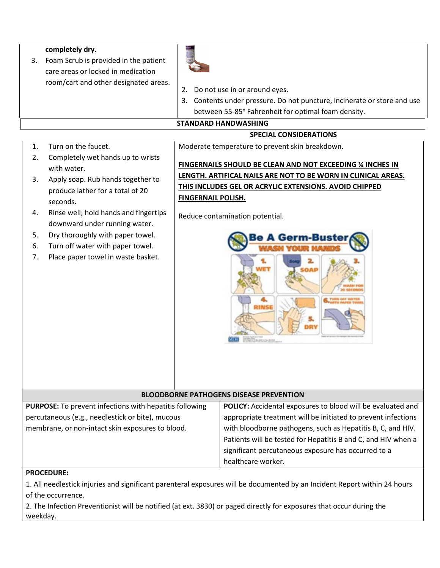|                                  | completely dry.<br>3. Foam Scrub is provided in the patient<br>care areas or locked in medication<br>room/cart and other designated areas.                                                                                                                                                                                    | 2. Do not use in or around eyes.<br>3. Contents under pressure. Do not puncture, incinerate or store and use<br>between 55-85° Fahrenheit for optimal foam density.<br><b>STANDARD HANDWASHING</b>                                                                                     |  |
|----------------------------------|-------------------------------------------------------------------------------------------------------------------------------------------------------------------------------------------------------------------------------------------------------------------------------------------------------------------------------|----------------------------------------------------------------------------------------------------------------------------------------------------------------------------------------------------------------------------------------------------------------------------------------|--|
|                                  | <b>SPECIAL CONSIDERATIONS</b>                                                                                                                                                                                                                                                                                                 |                                                                                                                                                                                                                                                                                        |  |
| 1.                               | Turn on the faucet.                                                                                                                                                                                                                                                                                                           | Moderate temperature to prevent skin breakdown.                                                                                                                                                                                                                                        |  |
| 2.<br>3.<br>4.<br>5.<br>6.<br>7. | Completely wet hands up to wrists<br>with water.<br>Apply soap. Rub hands together to<br>produce lather for a total of 20<br>seconds.<br>Rinse well; hold hands and fingertips<br>downward under running water.<br>Dry thoroughly with paper towel.<br>Turn off water with paper towel.<br>Place paper towel in waste basket. | FINGERNAILS SHOULD BE CLEAN AND NOT EXCEEDING % INCHES IN<br>LENGTH. ARTIFICAL NAILS ARE NOT TO BE WORN IN CLINICAL AREAS.<br>THIS INCLUDES GEL OR ACRYLIC EXTENSIONS. AVOID CHIPPED<br><b>FINGERNAIL POLISH.</b><br>Reduce contamination potential.<br>e A Germ-Bust<br>Wilsetts att. |  |

# **BLOODBORNE PATHOGENS DISEASE PREVENTION**

| <b>PURPOSE:</b> To prevent infections with hepatitis following | POLICY: Accidental exposures to blood will be evaluated and   |
|----------------------------------------------------------------|---------------------------------------------------------------|
| percutaneous (e.g., needlestick or bite), mucous               | appropriate treatment will be initiated to prevent infections |
| membrane, or non-intact skin exposures to blood.               | with bloodborne pathogens, such as Hepatitis B, C, and HIV.   |
|                                                                | Patients will be tested for Hepatitis B and C, and HIV when a |
|                                                                | significant percutaneous exposure has occurred to a           |
|                                                                | healthcare worker.                                            |

# **PROCEDURE:**

1. All needlestick injuries and significant parenteral exposures will be documented by an Incident Report within 24 hours of the occurrence.

2. The Infection Preventionist will be notified (at ext. 3830) or paged directly for exposures that occur during the weekday.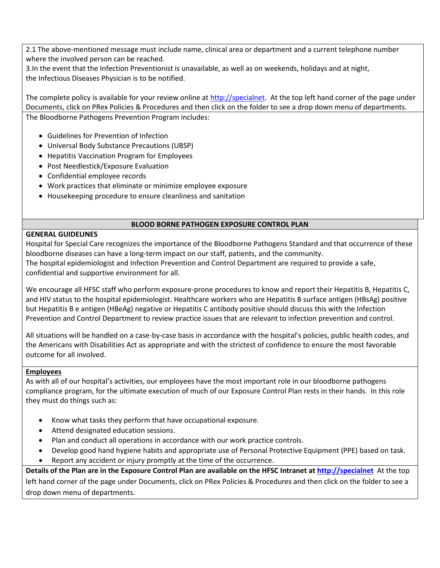2.1 The above-mentioned message must include name, clinical area or department and a current telephone number where the involved person can be reached.

3.In the event that the Infection Preventionist is unavailable, as well as on weekends, holidays and at night, the Infectious Diseases Physician is to be notified.

The complete policy is available for your review online a[t http://specialnet.](http://specialnet/) At the top left hand corner of the page under Documents, click on PRex Policies & Procedures and then click on the folder to see a drop down menu of departments. The Bloodborne Pathogens Prevention Program includes:

- Guidelines for Prevention of Infection
- Universal Body Substance Precautions (UBSP)
- Hepatitis Vaccination Program for Employees
- Post Needlestick/Exposure Evaluation
- Confidential employee records
- Work practices that eliminate or minimize employee exposure
- Housekeeping procedure to ensure cleanliness and sanitation

#### **BLOOD BORNE PATHOGEN EXPOSURE CONTROL PLAN**

### **GENERAL GUIDELINES**

Hospital for Special Care recognizes the importance of the Bloodborne Pathogens Standard and that occurrence of these bloodborne diseases can have a long-term impact on our staff, patients, and the community. The hospital epidemiologist and Infection Prevention and Control Department are required to provide a safe, confidential and supportive environment for all.

We encourage all HFSC staff who perform exposure-prone procedures to know and report their Hepatitis B, Hepatitis C, and HIV status to the hospital epidemiologist. Healthcare workers who are Hepatitis B surface antigen (HBsAg) positive but Hepatitis B e antigen (HBeAg) negative or Hepatitis C antibody positive should discuss this with the Infection Prevention and Control Department to review practice issues that are relevant to infection prevention and control.

All situations will be handled on a case-by-case basis in accordance with the hospital's policies, public health codes, and the Americans with Disabilities Act as appropriate and with the strictest of confidence to ensure the most favorable outcome for all involved.

### **Employees**

As with all of our hospital's activities, our employees have the most important role in our bloodborne pathogens compliance program, for the ultimate execution of much of our Exposure Control Plan rests in their hands. In this role they must do things such as:

- Know what tasks they perform that have occupational exposure.
- Attend designated education sessions.
- Plan and conduct all operations in accordance with our work practice controls.
- Develop good hand hygiene habits and appropriate use of Personal Protective Equipment (PPE) based on task.
- Report any accident or injury promptly at the time of the occurrence.

**Details of the Plan are in the Exposure Control Plan are available on the HFSC Intranet at [http://specialnet](http://specialnet/)** At the top left hand corner of the page under Documents, click on PRex Policies & Procedures and then click on the folder to see a drop down menu of departments.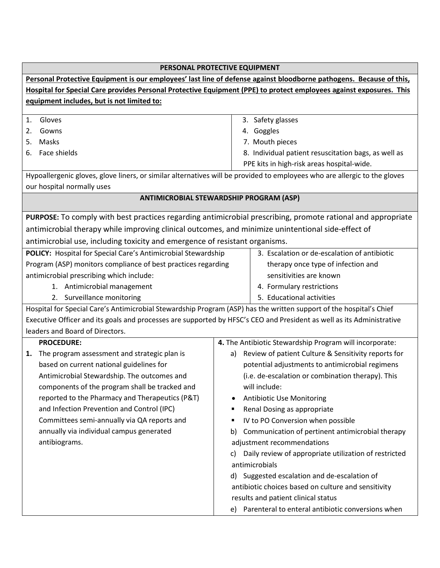|                                                                                                                       | PERSONAL PROTECTIVE EQUIPMENT                                                                                             |  |
|-----------------------------------------------------------------------------------------------------------------------|---------------------------------------------------------------------------------------------------------------------------|--|
| Personal Protective Equipment is our employees' last line of defense against bloodborne pathogens. Because of this,   |                                                                                                                           |  |
| Hospital for Special Care provides Personal Protective Equipment (PPE) to protect employees against exposures. This   |                                                                                                                           |  |
| equipment includes, but is not limited to:                                                                            |                                                                                                                           |  |
|                                                                                                                       |                                                                                                                           |  |
| Gloves<br>1.                                                                                                          | 3. Safety glasses                                                                                                         |  |
| Gowns<br>2.                                                                                                           | 4. Goggles                                                                                                                |  |
| Masks<br>5.                                                                                                           | 7. Mouth pieces                                                                                                           |  |
| Face shields<br>6.                                                                                                    | 8. Individual patient resuscitation bags, as well as                                                                      |  |
|                                                                                                                       | PPE kits in high-risk areas hospital-wide.                                                                                |  |
|                                                                                                                       | Hypoallergenic gloves, glove liners, or similar alternatives will be provided to employees who are allergic to the gloves |  |
| our hospital normally uses                                                                                            |                                                                                                                           |  |
|                                                                                                                       | ANTIMICROBIAL STEWARDSHIP PROGRAM (ASP)                                                                                   |  |
|                                                                                                                       | PURPOSE: To comply with best practices regarding antimicrobial prescribing, promote rational and appropriate              |  |
| antimicrobial therapy while improving clinical outcomes, and minimize unintentional side-effect of                    |                                                                                                                           |  |
| antimicrobial use, including toxicity and emergence of resistant organisms.                                           |                                                                                                                           |  |
| POLICY: Hospital for Special Care's Antimicrobial Stewardship                                                         | 3. Escalation or de-escalation of antibiotic                                                                              |  |
| Program (ASP) monitors compliance of best practices regarding                                                         | therapy once type of infection and                                                                                        |  |
| antimicrobial prescribing which include:                                                                              | sensitivities are known                                                                                                   |  |
| 1. Antimicrobial management                                                                                           | 4. Formulary restrictions                                                                                                 |  |
| 2. Surveillance monitoring                                                                                            | 5. Educational activities                                                                                                 |  |
| Hospital for Special Care's Antimicrobial Stewardship Program (ASP) has the written support of the hospital's Chief   |                                                                                                                           |  |
| Executive Officer and its goals and processes are supported by HFSC's CEO and President as well as its Administrative |                                                                                                                           |  |
| leaders and Board of Directors.                                                                                       |                                                                                                                           |  |
| <b>PROCEDURE:</b>                                                                                                     | 4. The Antibiotic Stewardship Program will incorporate:                                                                   |  |
| The program assessment and strategic plan is<br>1.                                                                    | Review of patient Culture & Sensitivity reports for<br>a)                                                                 |  |
| based on current national guidelines for                                                                              | potential adjustments to antimicrobial regimens                                                                           |  |
| Antimicrobial Stewardship. The outcomes and                                                                           | (i.e. de-escalation or combination therapy). This                                                                         |  |
| components of the program shall be tracked and                                                                        | will include:                                                                                                             |  |
| reported to the Pharmacy and Therapeutics (P&T)                                                                       | <b>Antibiotic Use Monitoring</b>                                                                                          |  |
| and Infection Prevention and Control (IPC)                                                                            | Renal Dosing as appropriate                                                                                               |  |
| Committees semi-annually via QA reports and                                                                           | IV to PO Conversion when possible                                                                                         |  |
| annually via individual campus generated                                                                              | Communication of pertinent antimicrobial therapy<br>b)                                                                    |  |
| antibiograms.                                                                                                         | adjustment recommendations                                                                                                |  |
|                                                                                                                       | Daily review of appropriate utilization of restricted<br>C)                                                               |  |
|                                                                                                                       | antimicrobials                                                                                                            |  |
|                                                                                                                       | d) Suggested escalation and de-escalation of                                                                              |  |
|                                                                                                                       | antibiotic choices based on culture and sensitivity                                                                       |  |
|                                                                                                                       | results and patient clinical status                                                                                       |  |
|                                                                                                                       | Parenteral to enteral antibiotic conversions when<br>e)                                                                   |  |
|                                                                                                                       |                                                                                                                           |  |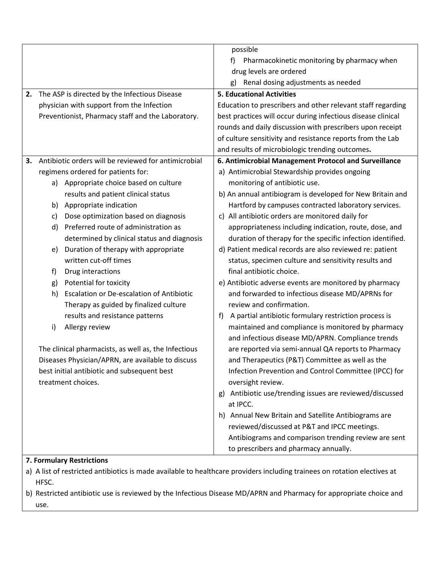|    |                                                        | possible                                                     |
|----|--------------------------------------------------------|--------------------------------------------------------------|
|    |                                                        | Pharmacokinetic monitoring by pharmacy when<br>f)            |
|    |                                                        | drug levels are ordered                                      |
|    |                                                        | Renal dosing adjustments as needed<br>g)                     |
| 2. | The ASP is directed by the Infectious Disease          | <b>5. Educational Activities</b>                             |
|    | physician with support from the Infection              | Education to prescribers and other relevant staff regarding  |
|    | Preventionist, Pharmacy staff and the Laboratory.      | best practices will occur during infectious disease clinical |
|    |                                                        | rounds and daily discussion with prescribers upon receipt    |
|    |                                                        | of culture sensitivity and resistance reports from the Lab   |
|    |                                                        | and results of microbiologic trending outcomes.              |
| 3. | Antibiotic orders will be reviewed for antimicrobial   | 6. Antimicrobial Management Protocol and Surveillance        |
|    | regimens ordered for patients for:                     | a) Antimicrobial Stewardship provides ongoing                |
|    | a) Appropriate choice based on culture                 | monitoring of antibiotic use.                                |
|    | results and patient clinical status                    | b) An annual antibiogram is developed for New Britain and    |
|    | Appropriate indication<br>b)                           | Hartford by campuses contracted laboratory services.         |
|    | Dose optimization based on diagnosis<br>c)             | c) All antibiotic orders are monitored daily for             |
|    | Preferred route of administration as<br>d)             | appropriateness including indication, route, dose, and       |
|    | determined by clinical status and diagnosis            | duration of therapy for the specific infection identified.   |
|    | Duration of therapy with appropriate<br>e)             | d) Patient medical records are also reviewed re: patient     |
|    | written cut-off times                                  | status, specimen culture and sensitivity results and         |
|    | Drug interactions<br>f)                                | final antibiotic choice.                                     |
|    | Potential for toxicity<br>g)                           | e) Antibiotic adverse events are monitored by pharmacy       |
|    | <b>Escalation or De-escalation of Antibiotic</b><br>h) | and forwarded to infectious disease MD/APRNs for             |
|    | Therapy as guided by finalized culture                 | review and confirmation.                                     |
|    | results and resistance patterns                        | A partial antibiotic formulary restriction process is<br>f)  |
|    | Allergy review<br>i)                                   | maintained and compliance is monitored by pharmacy           |
|    |                                                        | and infectious disease MD/APRN. Compliance trends            |
|    | The clinical pharmacists, as well as, the Infectious   | are reported via semi-annual QA reports to Pharmacy          |
|    | Diseases Physician/APRN, are available to discuss      | and Therapeutics (P&T) Committee as well as the              |
|    | best initial antibiotic and subsequent best            | Infection Prevention and Control Committee (IPCC) for        |
|    | treatment choices.                                     | oversight review.                                            |
|    |                                                        | Antibiotic use/trending issues are reviewed/discussed<br>g)  |
|    |                                                        | at IPCC.                                                     |
|    |                                                        | h) Annual New Britain and Satellite Antibiograms are         |
|    |                                                        | reviewed/discussed at P&T and IPCC meetings.                 |
|    |                                                        | Antibiograms and comparison trending review are sent         |
|    |                                                        | to prescribers and pharmacy annually.                        |
|    | 7. Formulary Restrictions                              |                                                              |
|    |                                                        |                                                              |

- a) A list of restricted antibiotics is made available to healthcare providers including trainees on rotation electives at HFSC.
- b) Restricted antibiotic use is reviewed by the Infectious Disease MD/APRN and Pharmacy for appropriate choice and use.